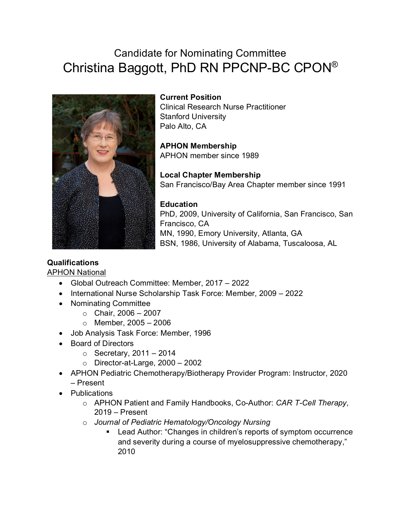# Candidate for Nominating Committee Christina Baggott, PhD RN PPCNP-BC CPON®



**Current Position**

Clinical Research Nurse Practitioner Stanford University Palo Alto, CA

**APHON Membership** APHON member since 1989

**Local Chapter Membership** San Francisco/Bay Area Chapter member since 1991

**Education** PhD, 2009, University of California, San Francisco, San Francisco, CA MN, 1990, Emory University, Atlanta, GA BSN, 1986, University of Alabama, Tuscaloosa, AL

## **Qualifications**

APHON National

- Global Outreach Committee: Member, 2017 2022
- International Nurse Scholarship Task Force: Member, 2009 2022
- Nominating Committee
	- $\circ$  Chair, 2006 2007
	- $\circ$  Member, 2005 2006
- Job Analysis Task Force: Member, 1996
- Board of Directors
	- $\circ$  Secretary, 2011 2014
	- $\circ$  Director-at-Large, 2000 2002
- APHON Pediatric Chemotherapy/Biotherapy Provider Program: Instructor, 2020 – Present
- Publications
	- o APHON Patient and Family Handbooks, Co-Author: *CAR T-Cell Therapy*, 2019 – Present
	- o *Journal of Pediatric Hematology/Oncology Nursing*
		- Lead Author: "Changes in children's reports of symptom occurrence and severity during a course of myelosuppressive chemotherapy," 2010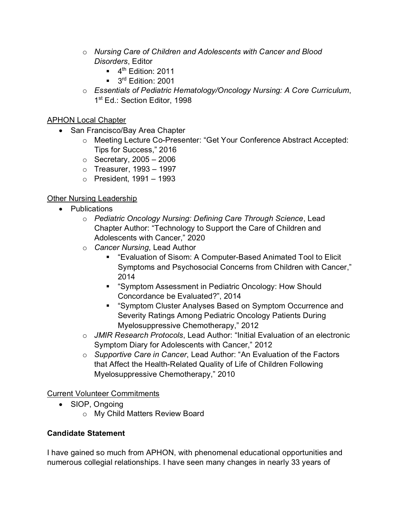- o *Nursing Care of Children and Adolescents with Cancer and Blood Disorders*, Editor
	- $\blacksquare$  4<sup>th</sup> Edition: 2011
	- $\blacksquare$  3<sup>rd</sup> Edition: 2001
- o *Essentials of Pediatric Hematology/Oncology Nursing: A Core Curriculum*, 1<sup>st</sup> Ed.: Section Editor, 1998

#### APHON Local Chapter

- San Francisco/Bay Area Chapter
	- o Meeting Lecture Co-Presenter: "Get Your Conference Abstract Accepted: Tips for Success," 2016
	- $\circ$  Secretary, 2005 2006
	- $\circ$  Treasurer, 1993 1997
	- $\circ$  President, 1991 1993

### Other Nursing Leadership

- Publications
	- o *Pediatric Oncology Nursing: Defining Care Through Science*, Lead Chapter Author: "Technology to Support the Care of Children and Adolescents with Cancer," 2020
	- o *Cancer Nursing*, Lead Author
		- "Evaluation of Sisom: A Computer-Based Animated Tool to Elicit Symptoms and Psychosocial Concerns from Children with Cancer," 2014
		- "Symptom Assessment in Pediatric Oncology: How Should Concordance be Evaluated?", 2014
		- "Symptom Cluster Analyses Based on Symptom Occurrence and Severity Ratings Among Pediatric Oncology Patients During Myelosuppressive Chemotherapy," 2012
	- o *JMIR Research Protocols*, Lead Author: "Initial Evaluation of an electronic Symptom Diary for Adolescents with Cancer," 2012
	- o *Supportive Care in Cancer*, Lead Author: "An Evaluation of the Factors that Affect the Health-Related Quality of Life of Children Following Myelosuppressive Chemotherapy," 2010

#### Current Volunteer Commitments

- SIOP, Ongoing
	- o My Child Matters Review Board

#### **Candidate Statement**

I have gained so much from APHON, with phenomenal educational opportunities and numerous collegial relationships. I have seen many changes in nearly 33 years of